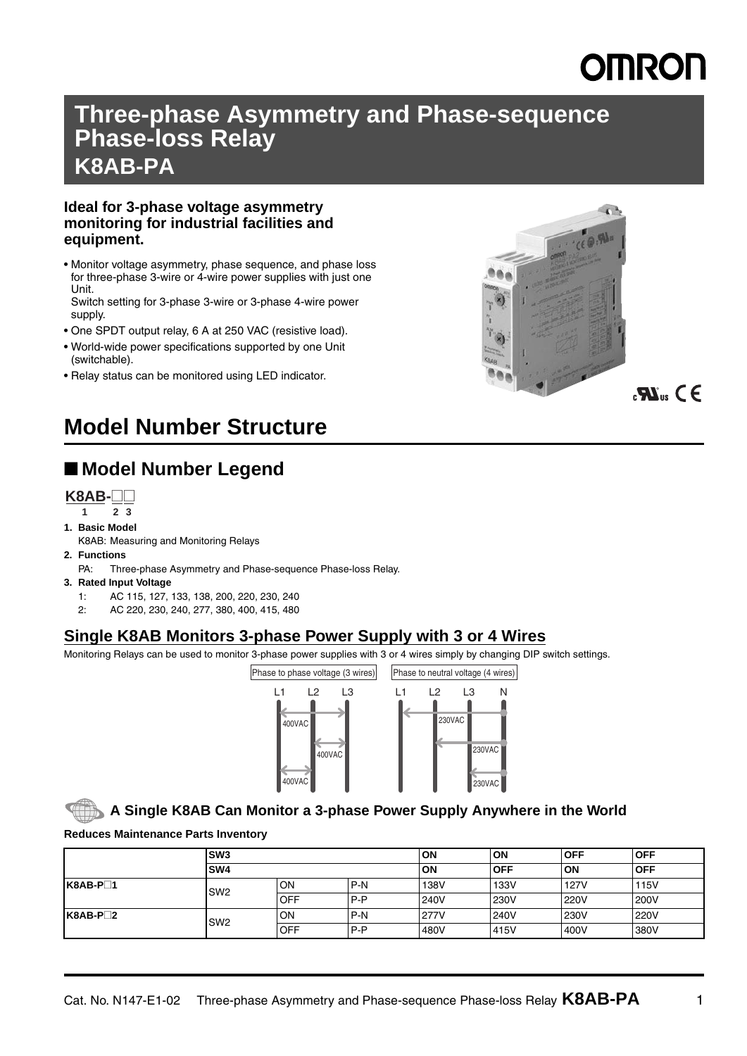# **MRON**

## **Three-phase Asymmetry and Phase-sequence Phase-loss Relay K8AB-PA**

### **Ideal for 3-phase voltage asymmetry monitoring for industrial facilities and equipment.**

• Monitor voltage asymmetry, phase sequence, and phase loss for three-phase 3-wire or 4-wire power supplies with just one Unit.

Switch setting for 3-phase 3-wire or 3-phase 4-wire power supply.

- One SPDT output relay, 6 A at 250 VAC (resistive load).
- World-wide power specifications supported by one Unit (switchable).
- Relay status can be monitored using LED indicator.



## $\mathbf{R}^{\mathbf{m}}$  C E

## **Model Number Structure**

## ■ **Model Number Legend**



- **1 23**
- **1. Basic Model**
	- K8AB: Measuring and Monitoring Relays
- **2. Functions**
	- PA: Three-phase Asymmetry and Phase-sequence Phase-loss Relay.
- **3. Rated Input Voltage**
	- 1: AC 115, 127, 133, 138, 200, 220, 230, 240
	- 2: AC 220, 230, 240, 277, 380, 400, 415, 480

### **Single K8AB Monitors 3-phase Power Supply with 3 or 4 Wires**

Monitoring Relays can be used to monitor 3-phase power supplies with 3 or 4 wires simply by changing DIP switch settings.



### **A Single K8AB Can Monitor a 3-phase Power Supply Anywhere in the World**

**Reduces Maintenance Parts Inventory**

|           | SW <sub>3</sub><br><b>SW4</b> |            |       | <b>ON</b> | <b>ON</b>   | <b>OFF</b>  | <b>OFF</b> |
|-----------|-------------------------------|------------|-------|-----------|-------------|-------------|------------|
|           |                               |            |       | ON        | <b>OFF</b>  | ON          | <b>OFF</b> |
| $K8AB-P1$ | SW <sub>2</sub>               | <b>ION</b> | P-N   | 138V      | 133V        | <b>127V</b> | 115V       |
|           |                               | <b>OFF</b> | $P-P$ | 240V      | <b>230V</b> | <b>220V</b> | 200V       |
| $K8AB-P2$ | SW <sub>2</sub>               | <b>ON</b>  | P-N   | 277V      | <b>240V</b> | 230V        | 220V       |
|           |                               | <b>OFF</b> | $P-P$ | 480V      | 415V        | 400V        | 380V       |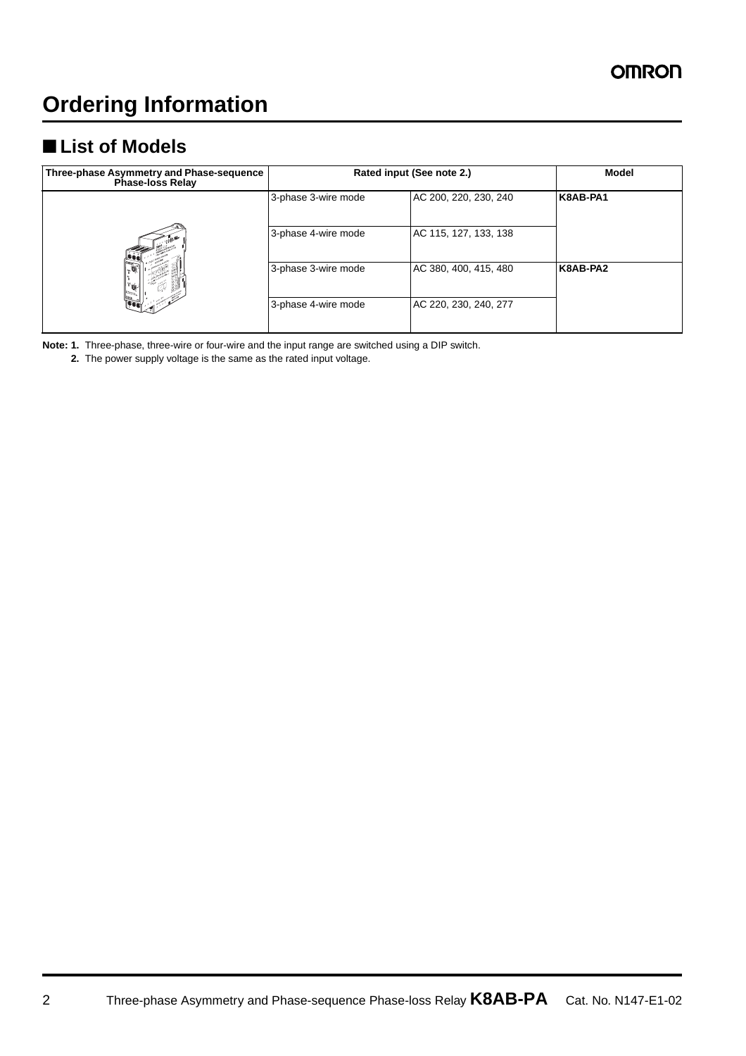## ■ **List of Models**

| Three-phase Asymmetry and Phase-sequence<br>Phase-loss Relay | Rated input (See note 2.) | Model                 |          |
|--------------------------------------------------------------|---------------------------|-----------------------|----------|
|                                                              | 3-phase 3-wire mode       | AC 200, 220, 230, 240 | K8AB-PA1 |
|                                                              | 3-phase 4-wire mode       | AC 115, 127, 133, 138 |          |
| $\mathbf{e}$                                                 | 3-phase 3-wire mode       | AC 380, 400, 415, 480 | K8AB-PA2 |
|                                                              | 3-phase 4-wire mode       | AC 220, 230, 240, 277 |          |

**Note: 1.** Three-phase, three-wire or four-wire and the input range are switched using a DIP switch.

**2.** The power supply voltage is the same as the rated input voltage.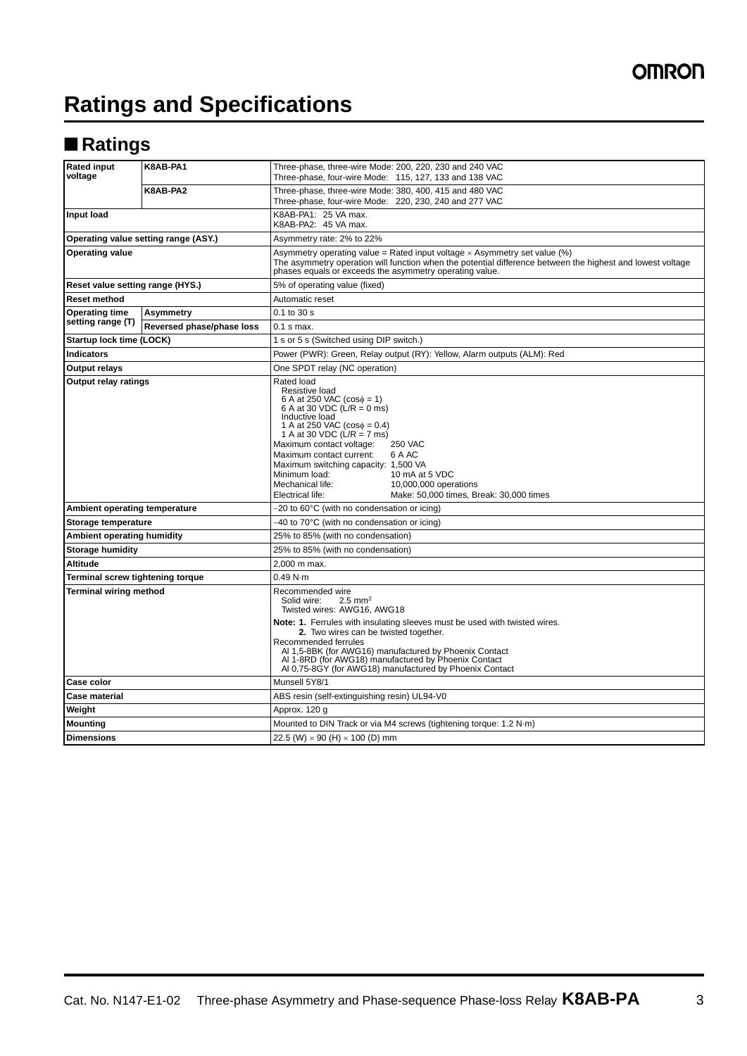## **Ratings and Specifications**

## ■ **Ratings**

| <b>Rated input</b><br>voltage        | K8AB-PA1                  | Three-phase, three-wire Mode: 200, 220, 230 and 240 VAC<br>Three-phase, four-wire Mode: 115, 127, 133 and 138 VAC                                                                                                                                                                                                                                                                                                                                                       |  |  |  |  |
|--------------------------------------|---------------------------|-------------------------------------------------------------------------------------------------------------------------------------------------------------------------------------------------------------------------------------------------------------------------------------------------------------------------------------------------------------------------------------------------------------------------------------------------------------------------|--|--|--|--|
|                                      | K8AB-PA2                  | Three-phase, three-wire Mode: 380, 400, 415 and 480 VAC<br>Three-phase, four-wire Mode: 220, 230, 240 and 277 VAC                                                                                                                                                                                                                                                                                                                                                       |  |  |  |  |
| Input load                           |                           | K8AB-PA1: 25 VA max.<br>K8AB-PA2: 45 VA max.                                                                                                                                                                                                                                                                                                                                                                                                                            |  |  |  |  |
| Operating value setting range (ASY.) |                           | Asymmetry rate: 2% to 22%                                                                                                                                                                                                                                                                                                                                                                                                                                               |  |  |  |  |
| <b>Operating value</b>               |                           | Asymmetry operating value = Rated input voltage $\times$ Asymmetry set value (%)<br>The asymmetry operation will function when the potential difference between the highest and lowest voltage<br>phases equals or exceeds the asymmetry operating value.                                                                                                                                                                                                               |  |  |  |  |
| Reset value setting range (HYS.)     |                           | 5% of operating value (fixed)                                                                                                                                                                                                                                                                                                                                                                                                                                           |  |  |  |  |
| <b>Reset method</b>                  |                           | Automatic reset                                                                                                                                                                                                                                                                                                                                                                                                                                                         |  |  |  |  |
| <b>Operating time</b>                | Asymmetry                 | 0.1 to 30 s                                                                                                                                                                                                                                                                                                                                                                                                                                                             |  |  |  |  |
| setting range (T)                    | Reversed phase/phase loss | $0.1$ s max.                                                                                                                                                                                                                                                                                                                                                                                                                                                            |  |  |  |  |
| Startup lock time (LOCK)             |                           | 1 s or 5 s (Switched using DIP switch.)                                                                                                                                                                                                                                                                                                                                                                                                                                 |  |  |  |  |
| <b>Indicators</b>                    |                           | Power (PWR): Green, Relay output (RY): Yellow, Alarm outputs (ALM): Red                                                                                                                                                                                                                                                                                                                                                                                                 |  |  |  |  |
| <b>Output relays</b>                 |                           | One SPDT relay (NC operation)                                                                                                                                                                                                                                                                                                                                                                                                                                           |  |  |  |  |
| <b>Output relay ratings</b>          |                           | Rated load<br>Resistive load<br>6 A at 250 VAC $(cos \phi = 1)$<br>6 A at 30 VDC (L/R = 0 ms)<br>Inductive load<br>1 A at 250 VAC ( $cos\phi = 0.4$ )<br>1 A at 30 VDC ( $\angle$ /R = 7 ms)<br>Maximum contact voltage:<br><b>250 VAC</b><br>Maximum contact current:<br>6 A AC<br>Maximum switching capacity: 1,500 VA<br>Minimum load:<br>10 mA at 5 VDC<br>Mechanical life:<br>10,000,000 operations<br>Electrical life:<br>Make: 50,000 times, Break: 30,000 times |  |  |  |  |
| Ambient operating temperature        |                           | -20 to 60°C (with no condensation or icing)                                                                                                                                                                                                                                                                                                                                                                                                                             |  |  |  |  |
| Storage temperature                  |                           | -40 to 70°C (with no condensation or icing)                                                                                                                                                                                                                                                                                                                                                                                                                             |  |  |  |  |
| Ambient operating humidity           |                           | 25% to 85% (with no condensation)                                                                                                                                                                                                                                                                                                                                                                                                                                       |  |  |  |  |
| <b>Storage humidity</b>              |                           | 25% to 85% (with no condensation)                                                                                                                                                                                                                                                                                                                                                                                                                                       |  |  |  |  |
| Altitude                             |                           | 2.000 m max.                                                                                                                                                                                                                                                                                                                                                                                                                                                            |  |  |  |  |
| Terminal screw tightening torque     |                           | 0.49 N·m                                                                                                                                                                                                                                                                                                                                                                                                                                                                |  |  |  |  |
| Terminal wiring method               |                           | Recommended wire<br>Solid wire:<br>$2.5 \text{ mm}^2$<br>Twisted wires: AWG16, AWG18<br>Note: 1. Ferrules with insulating sleeves must be used with twisted wires.<br>2. Two wires can be twisted together.<br>Recommended ferrules<br>Al 1,5-8BK (for AWG16) manufactured by Phoenix Contact<br>Al 1-8RD (for AWG18) manufactured by Phoenix Contact<br>Al 0,75-8GY (for AWG18) manufactured by Phoenix Contact                                                        |  |  |  |  |
| Case color                           |                           | Munsell 5Y8/1                                                                                                                                                                                                                                                                                                                                                                                                                                                           |  |  |  |  |
| <b>Case material</b>                 |                           | ABS resin (self-extinguishing resin) UL94-V0                                                                                                                                                                                                                                                                                                                                                                                                                            |  |  |  |  |
| Weight                               |                           | Approx. 120 g                                                                                                                                                                                                                                                                                                                                                                                                                                                           |  |  |  |  |
| <b>Mounting</b>                      |                           | Mounted to DIN Track or via M4 screws (tightening torque: 1.2 N·m)                                                                                                                                                                                                                                                                                                                                                                                                      |  |  |  |  |
| <b>Dimensions</b>                    |                           | 22.5 (W) $\times$ 90 (H) $\times$ 100 (D) mm                                                                                                                                                                                                                                                                                                                                                                                                                            |  |  |  |  |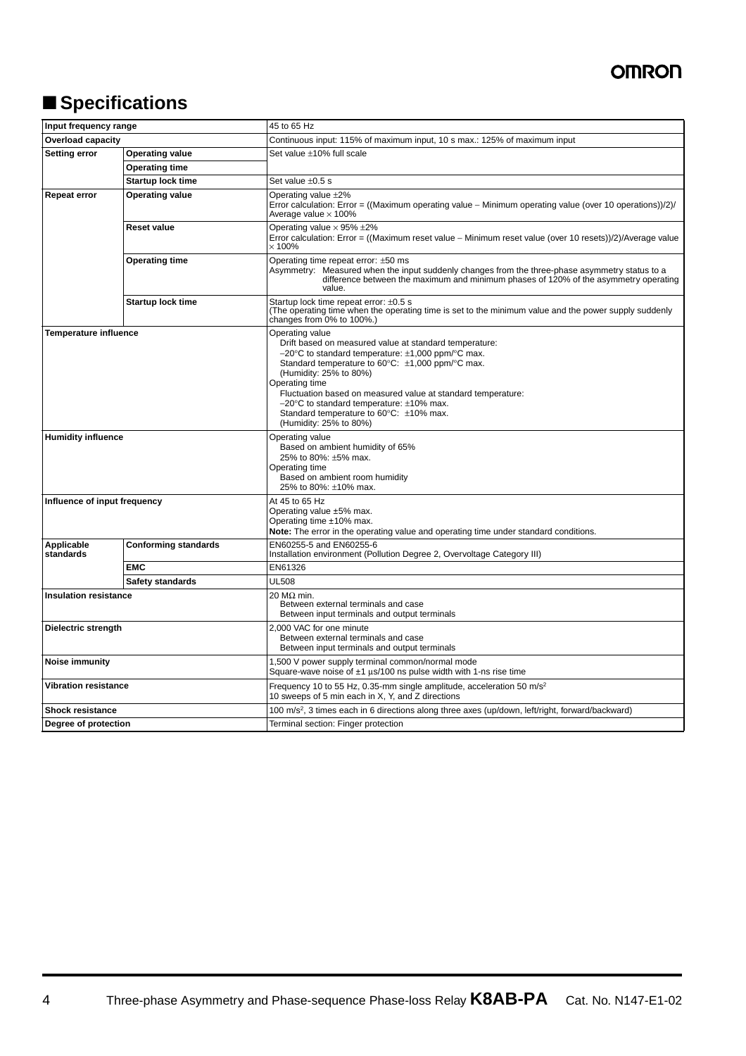## ■ **Specifications**

| Input frequency range                         |                             | 45 to 65 Hz                                                                                                                                                                                                                                                                                                                                                                                                                                                                   |  |  |  |
|-----------------------------------------------|-----------------------------|-------------------------------------------------------------------------------------------------------------------------------------------------------------------------------------------------------------------------------------------------------------------------------------------------------------------------------------------------------------------------------------------------------------------------------------------------------------------------------|--|--|--|
| <b>Overload capacity</b>                      |                             | Continuous input: 115% of maximum input, 10 s max.: 125% of maximum input                                                                                                                                                                                                                                                                                                                                                                                                     |  |  |  |
| <b>Setting error</b>                          | <b>Operating value</b>      | Set value ±10% full scale                                                                                                                                                                                                                                                                                                                                                                                                                                                     |  |  |  |
|                                               | <b>Operating time</b>       |                                                                                                                                                                                                                                                                                                                                                                                                                                                                               |  |  |  |
|                                               | <b>Startup lock time</b>    | Set value ±0.5 s                                                                                                                                                                                                                                                                                                                                                                                                                                                              |  |  |  |
| <b>Repeat error</b><br><b>Operating value</b> |                             | Operating value $\pm 2\%$<br>Error calculation: Error = ((Maximum operating value - Minimum operating value (over 10 operations))/2)/<br>Average value $\times$ 100%                                                                                                                                                                                                                                                                                                          |  |  |  |
|                                               | <b>Reset value</b>          | Operating value $\times$ 95% $\pm$ 2%<br>Error calculation: Error = ((Maximum reset value - Minimum reset value (over 10 resets))/2)/Average value<br>$\times$ 100%                                                                                                                                                                                                                                                                                                           |  |  |  |
|                                               | <b>Operating time</b>       | Operating time repeat error: ±50 ms<br>Asymmetry: Measured when the input suddenly changes from the three-phase asymmetry status to a<br>difference between the maximum and minimum phases of 120% of the asymmetry operating<br>value.                                                                                                                                                                                                                                       |  |  |  |
|                                               | <b>Startup lock time</b>    | Startup lock time repeat error: ±0.5 s<br>(The operating time when the operating time is set to the minimum value and the power supply suddenly<br>changes from 0% to 100%.)                                                                                                                                                                                                                                                                                                  |  |  |  |
| <b>Temperature influence</b>                  |                             | Operating value<br>Drift based on measured value at standard temperature:<br>$-20^{\circ}$ C to standard temperature: $\pm$ 1,000 ppm/ $\circ$ C max.<br>Standard temperature to $60^{\circ}$ C: $\pm$ 1,000 ppm/ $\circ$ C max.<br>(Humidity: 25% to 80%)<br>Operating time<br>Fluctuation based on measured value at standard temperature:<br>$-20^{\circ}$ C to standard temperature: $\pm 10\%$ max.<br>Standard temperature to 60°C: ±10% max.<br>(Humidity: 25% to 80%) |  |  |  |
| <b>Humidity influence</b>                     |                             | Operating value<br>Based on ambient humidity of 65%<br>25% to 80%: ±5% max.<br>Operating time<br>Based on ambient room humidity<br>25% to 80%: ±10% max.                                                                                                                                                                                                                                                                                                                      |  |  |  |
| Influence of input frequency                  |                             | At 45 to 65 Hz<br>Operating value ±5% max.<br>Operating time ±10% max.<br><b>Note:</b> The error in the operating value and operating time under standard conditions.                                                                                                                                                                                                                                                                                                         |  |  |  |
| Applicable<br>standards                       | <b>Conforming standards</b> | EN60255-5 and EN60255-6<br>Installation environment (Pollution Degree 2, Overvoltage Category III)                                                                                                                                                                                                                                                                                                                                                                            |  |  |  |
|                                               | <b>EMC</b>                  | EN61326                                                                                                                                                                                                                                                                                                                                                                                                                                                                       |  |  |  |
|                                               | Safety standards            | <b>UL508</b>                                                                                                                                                                                                                                                                                                                                                                                                                                                                  |  |  |  |
| <b>Insulation resistance</b>                  |                             | $20$ MΩ min.<br>Between external terminals and case<br>Between input terminals and output terminals                                                                                                                                                                                                                                                                                                                                                                           |  |  |  |
| Dielectric strength                           |                             | 2,000 VAC for one minute<br>Between external terminals and case<br>Between input terminals and output terminals                                                                                                                                                                                                                                                                                                                                                               |  |  |  |
| Noise immunity                                |                             | 1,500 V power supply terminal common/normal mode<br>Square-wave noise of $\pm 1$ $\mu$ s/100 ns pulse width with 1-ns rise time                                                                                                                                                                                                                                                                                                                                               |  |  |  |
| Vibration resistance                          |                             | Frequency 10 to 55 Hz, 0.35-mm single amplitude, acceleration 50 m/s <sup>2</sup><br>10 sweeps of 5 min each in X, Y, and Z directions                                                                                                                                                                                                                                                                                                                                        |  |  |  |
| <b>Shock resistance</b>                       |                             | 100 m/s <sup>2</sup> , 3 times each in 6 directions along three axes (up/down, left/right, forward/backward)                                                                                                                                                                                                                                                                                                                                                                  |  |  |  |
| Degree of protection                          |                             | Terminal section: Finger protection                                                                                                                                                                                                                                                                                                                                                                                                                                           |  |  |  |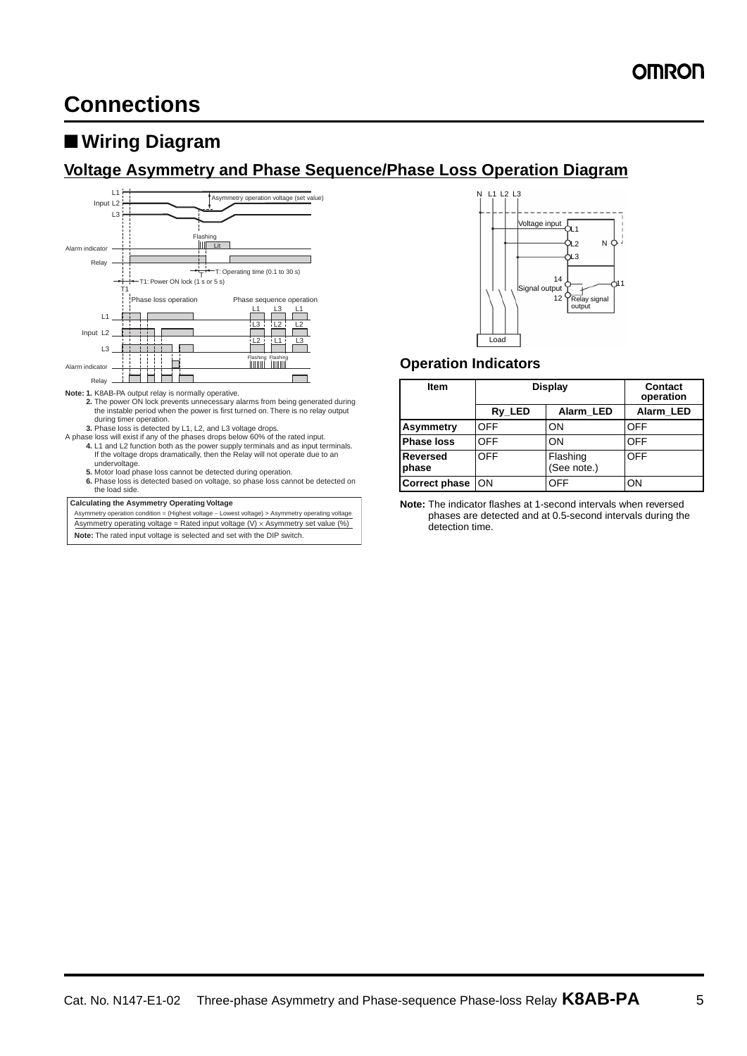## ■ **Wiring Diagram**

### **Voltage Asymmetry and Phase Sequence/Phase Loss Operation Diagram**



- 
- A phase loss will exist if any of the phases drops below 60% of the rated input. **4.** L1 and L2 function both as the power supply terminals and as input terminals.
	- If the voltage drops dramatically, then the Relay will not operate due to an
	-
	- undervoltage. **5.** Motor load phase loss cannot be detected during operation.
	- **6.** Phase loss is detected based on voltage, so phase loss cannot be detected on the load side.

#### **Calculating the Asymmetry Operating Voltage**

Asymmetry operation condition = (Highest voltage − Lowest voltage) > Asymmetry operating voltage Asymmetry operating voltage = Rated input voltage  $(V) \times$  Asymmetry set value  $(\%)$ **Note:** The rated input voltage is selected and set with the DIP switch.



### **Operation Indicators**

| <b>Item</b>              | <b>Display</b> | Contact<br>operation    |            |
|--------------------------|----------------|-------------------------|------------|
|                          | Ry_LED         | Alarm LED               |            |
| Asymmetry                | <b>OFF</b>     | ON                      | OFF        |
| <b>Phase loss</b>        | OFF            | ON                      | <b>OFF</b> |
| <b>Reversed</b><br>phase | <b>OFF</b>     | Flashing<br>(See note.) | OFF        |
| <b>Correct phase</b>     | ON             | OFF                     | OΝ         |

**Note:** The indicator flashes at 1-second intervals when reversed phases are detected and at 0.5-second intervals during the detection time.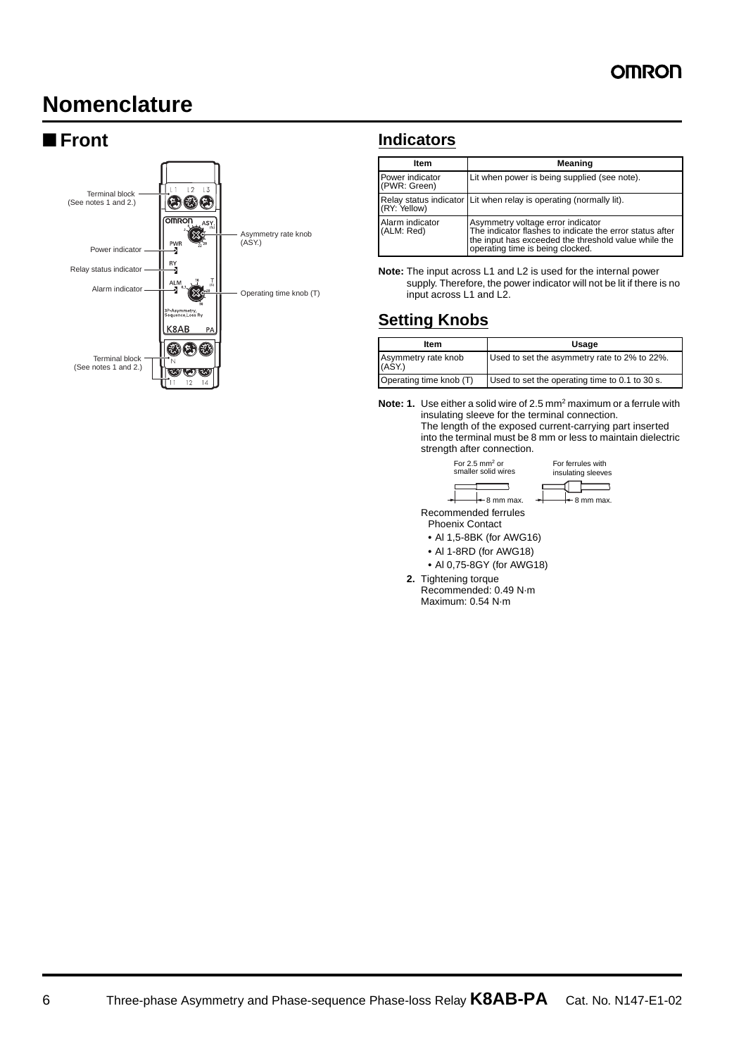## **Nomenclature**



### ■ **Front Indicators**

| Item                            | Meaning                                                                                                                                                                                   |
|---------------------------------|-------------------------------------------------------------------------------------------------------------------------------------------------------------------------------------------|
| Power indicator<br>(PWR: Green) | Lit when power is being supplied (see note).                                                                                                                                              |
| (RY: Yellow)                    | Relay status indicator Lit when relay is operating (normally lit).                                                                                                                        |
| Alarm indicator<br>(ALM: Red)   | Asymmetry voltage error indicator<br>The indicator flashes to indicate the error status after<br>the input has exceeded the threshold value while the<br>operating time is being clocked. |

**Note:** The input across L1 and L2 is used for the internal power supply. Therefore, the power indicator will not be lit if there is no input across L1 and L2.

### **Setting Knobs**

| Item                          | Usage                                          |  |  |
|-------------------------------|------------------------------------------------|--|--|
| Asymmetry rate knob<br>(ASY.) | Used to set the asymmetry rate to 2% to 22%.   |  |  |
| Operating time knob (T)       | Used to set the operating time to 0.1 to 30 s. |  |  |

**Note: 1.** Use either a solid wire of 2.5 mm2 maximum or a ferrule with insulating sleeve for the terminal connection. The length of the exposed current-carrying part inserted into the terminal must be 8 mm or less to maintain dielectric strength after connection.



Phoenix Contact

- **•** Al 1,5-8BK (for AWG16)
- **•** Al 1-8RD (for AWG18)
- **•** Al 0,75-8GY (for AWG18)
- **2.** Tightening torque

Recommended: 0.49 N·m Maximum: 0.54 N·m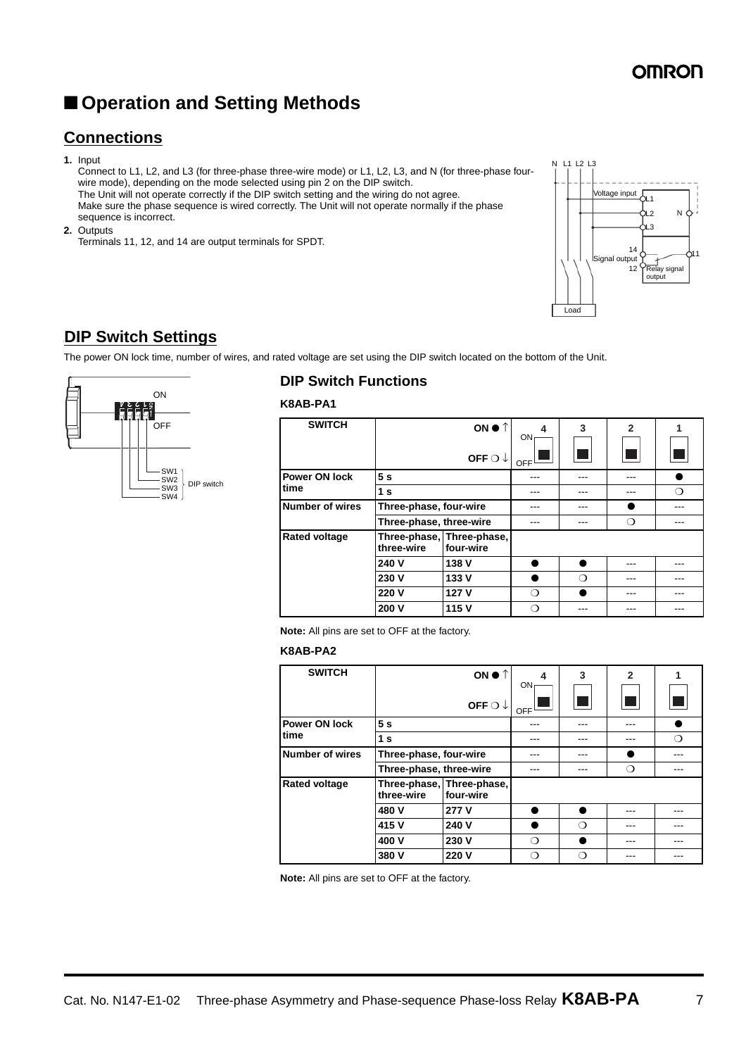## ■ **Operation and Setting Methods**

### **Connections**

**1.** Input

Connect to L1, L2, and L3 (for three-phase three-wire mode) or L1, L2, L3, and N (for three-phase fourwire mode), depending on the mode selected using pin 2 on the DIP switch. The Unit will not operate correctly if the DIP switch setting and the wiring do not agree. Make sure the phase sequence is wired correctly. The Unit will not operate normally if the phase sequence is incorrect.

**2.** Outputs

Terminals 11, 12, and 14 are output terminals for SPDT.



### **DIP Switch Settings**

The power ON lock time, number of wires, and rated voltage are set using the DIP switch located on the bottom of the Unit.



### **DIP Switch Functions**

**K8AB-PA1**

| <b>SWITCH</b>        | ON ● ↑                  |                                        | 4<br>ON | 3 | $\mathbf{2}$           | 1   |
|----------------------|-------------------------|----------------------------------------|---------|---|------------------------|-----|
|                      |                         | OFF $\bigcirc \downarrow$              | OFF     |   | <b>Service Service</b> |     |
| <b>Power ON lock</b> | 5s                      |                                        | ---     |   | ---                    |     |
| time                 | 1 <sub>s</sub>          |                                        |         |   |                        | ∩   |
| Number of wires      | Three-phase, four-wire  |                                        |         |   |                        |     |
|                      | Three-phase, three-wire |                                        |         |   | ∩                      |     |
| <b>Rated voltage</b> | three-wire              | Three-phase, Three-phase,<br>four-wire |         |   |                        |     |
|                      | 240 V                   | 138 V                                  |         |   |                        |     |
|                      | 230 V                   | 133 V                                  |         | ∩ | ---                    | --- |
|                      | 220 V                   | 127 V                                  | ∩       |   | ---                    | --  |
|                      | 200 V                   | 115 V                                  | ⊖       |   |                        |     |

**Note:** All pins are set to OFF at the factory.

### **K8AB-PA2**

| <b>SWITCH</b>        | ON $\bullet$ $\uparrow$ |                                        | 4         | 3 | $\overline{2}$                                                                                                 |  |
|----------------------|-------------------------|----------------------------------------|-----------|---|----------------------------------------------------------------------------------------------------------------|--|
|                      |                         | OFF $\bigcirc \downarrow$              | ON<br>OFF |   | and the state of the state of the state of the state of the state of the state of the state of the state of th |  |
| <b>Power ON lock</b> | 5s                      |                                        |           |   |                                                                                                                |  |
| time                 | 1 <sub>s</sub>          |                                        | ---       |   |                                                                                                                |  |
| Number of wires      | Three-phase, four-wire  |                                        |           |   |                                                                                                                |  |
|                      | Three-phase, three-wire |                                        |           |   | ⊖                                                                                                              |  |
| <b>Rated voltage</b> | three-wire              | Three-phase, Three-phase,<br>four-wire |           |   |                                                                                                                |  |
|                      | 480 V                   | 277 V                                  |           |   |                                                                                                                |  |
|                      | 415 V                   | 240 V                                  |           | ∩ |                                                                                                                |  |
|                      | 400 V                   | 230 V                                  | ∩         |   |                                                                                                                |  |
|                      | 380 V                   | 220 V                                  | ∩         | ∩ |                                                                                                                |  |

**Note:** All pins are set to OFF at the factory.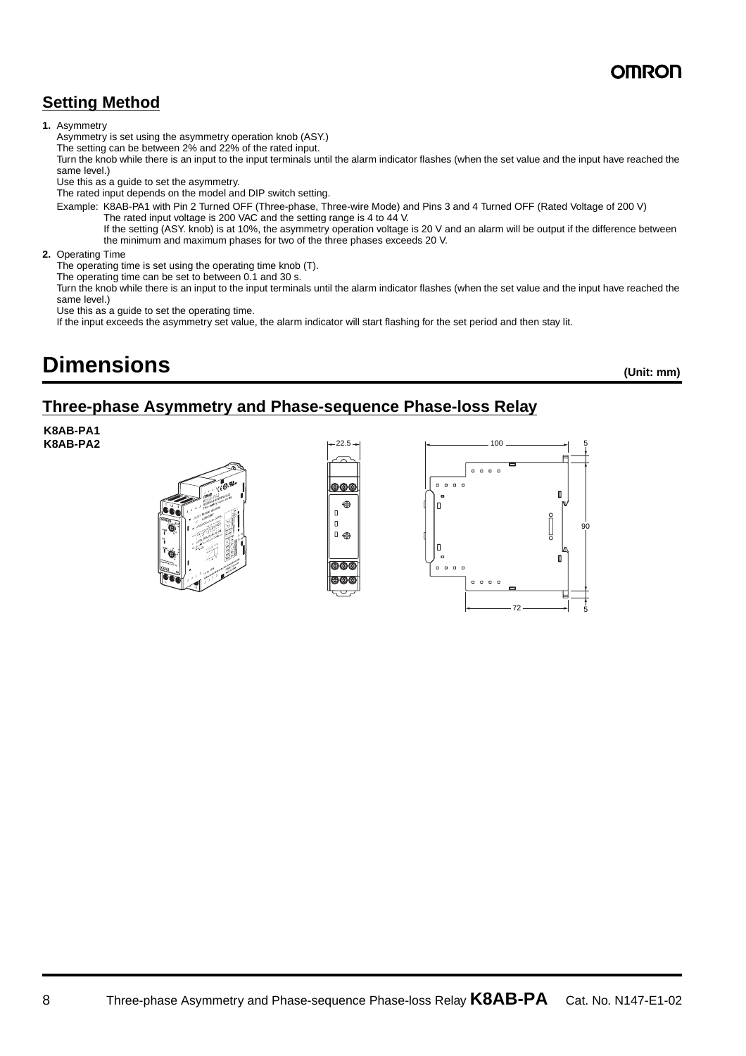## OMROI

### **Setting Method**

### **1.** Asymmetry

Asymmetry is set using the asymmetry operation knob (ASY.)

The setting can be between 2% and 22% of the rated input.

Turn the knob while there is an input to the input terminals until the alarm indicator flashes (when the set value and the input have reached the same level.)

Use this as a guide to set the asymmetry.

The rated input depends on the model and DIP switch setting.

Example: K8AB-PA1 with Pin 2 Turned OFF (Three-phase, Three-wire Mode) and Pins 3 and 4 Turned OFF (Rated Voltage of 200 V) The rated input voltage is 200 VAC and the setting range is 4 to 44 V.

If the setting (ASY. knob) is at 10%, the asymmetry operation voltage is 20 V and an alarm will be output if the difference between the minimum and maximum phases for two of the three phases exceeds 20 V.

### **2.** Operating Time

The operating time is set using the operating time knob (T).

The operating time can be set to between 0.1 and 30 s.

Turn the knob while there is an input to the input terminals until the alarm indicator flashes (when the set value and the input have reached the same level.)

Use this as a guide to set the operating time.

If the input exceeds the asymmetry set value, the alarm indicator will start flashing for the set period and then stay lit.

## **Dimensions (Unit: mm)**

### **Three-phase Asymmetry and Phase-sequence Phase-loss Relay**

**K8AB-PA1 K8AB-PA2**





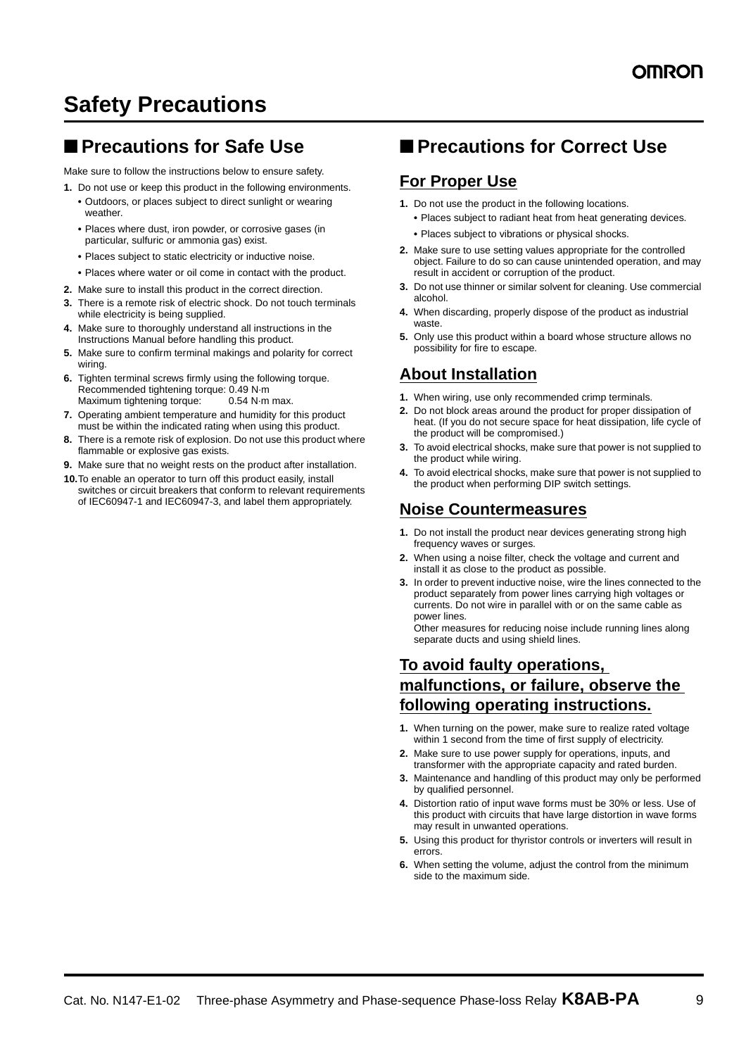## **Safety Precautions**

### ■ **Precautions for Safe Use**

Make sure to follow the instructions below to ensure safety.

- **1.** Do not use or keep this product in the following environments.
	- **•** Outdoors, or places subject to direct sunlight or wearing weather.
	- **•** Places where dust, iron powder, or corrosive gases (in particular, sulfuric or ammonia gas) exist.
	- **•** Places subject to static electricity or inductive noise.
	- **•** Places where water or oil come in contact with the product.
- **2.** Make sure to install this product in the correct direction.
- **3.** There is a remote risk of electric shock. Do not touch terminals while electricity is being supplied.
- **4.** Make sure to thoroughly understand all instructions in the Instructions Manual before handling this product.
- **5.** Make sure to confirm terminal makings and polarity for correct wiring.
- **6.** Tighten terminal screws firmly using the following torque. Recommended tightening torque: 0.49 N·m<br>Maximum tightening torque: 0.54 N·m max. Maximum tightening torque:
- **7.** Operating ambient temperature and humidity for this product must be within the indicated rating when using this product.
- **8.** There is a remote risk of explosion. Do not use this product where flammable or explosive gas exists.
- **9.** Make sure that no weight rests on the product after installation.
- **10.**To enable an operator to turn off this product easily, install switches or circuit breakers that conform to relevant requirements of IEC60947-1 and IEC60947-3, and label them appropriately.

### ■ **Precautions for Correct Use**

### **For Proper Use**

- **1.** Do not use the product in the following locations.
	- **•** Places subject to radiant heat from heat generating devices.
	- **•** Places subject to vibrations or physical shocks.
- **2.** Make sure to use setting values appropriate for the controlled object. Failure to do so can cause unintended operation, and may result in accident or corruption of the product.
- **3.** Do not use thinner or similar solvent for cleaning. Use commercial alcohol.
- **4.** When discarding, properly dispose of the product as industrial waste.
- **5.** Only use this product within a board whose structure allows no possibility for fire to escape.

### **About Installation**

- **1.** When wiring, use only recommended crimp terminals.
- **2.** Do not block areas around the product for proper dissipation of heat. (If you do not secure space for heat dissipation, life cycle of the product will be compromised.)
- **3.** To avoid electrical shocks, make sure that power is not supplied to the product while wiring.
- **4.** To avoid electrical shocks, make sure that power is not supplied to the product when performing DIP switch settings.

### **Noise Countermeasures**

- **1.** Do not install the product near devices generating strong high frequency waves or surges.
- **2.** When using a noise filter, check the voltage and current and install it as close to the product as possible.
- **3.** In order to prevent inductive noise, wire the lines connected to the product separately from power lines carrying high voltages or currents. Do not wire in parallel with or on the same cable as power lines.

Other measures for reducing noise include running lines along separate ducts and using shield lines.

### **To avoid faulty operations, malfunctions, or failure, observe the following operating instructions.**

- **1.** When turning on the power, make sure to realize rated voltage within 1 second from the time of first supply of electricity.
- **2.** Make sure to use power supply for operations, inputs, and transformer with the appropriate capacity and rated burden.
- **3.** Maintenance and handling of this product may only be performed by qualified personnel.
- **4.** Distortion ratio of input wave forms must be 30% or less. Use of this product with circuits that have large distortion in wave forms may result in unwanted operations.
- **5.** Using this product for thyristor controls or inverters will result in errors.
- **6.** When setting the volume, adjust the control from the minimum side to the maximum side.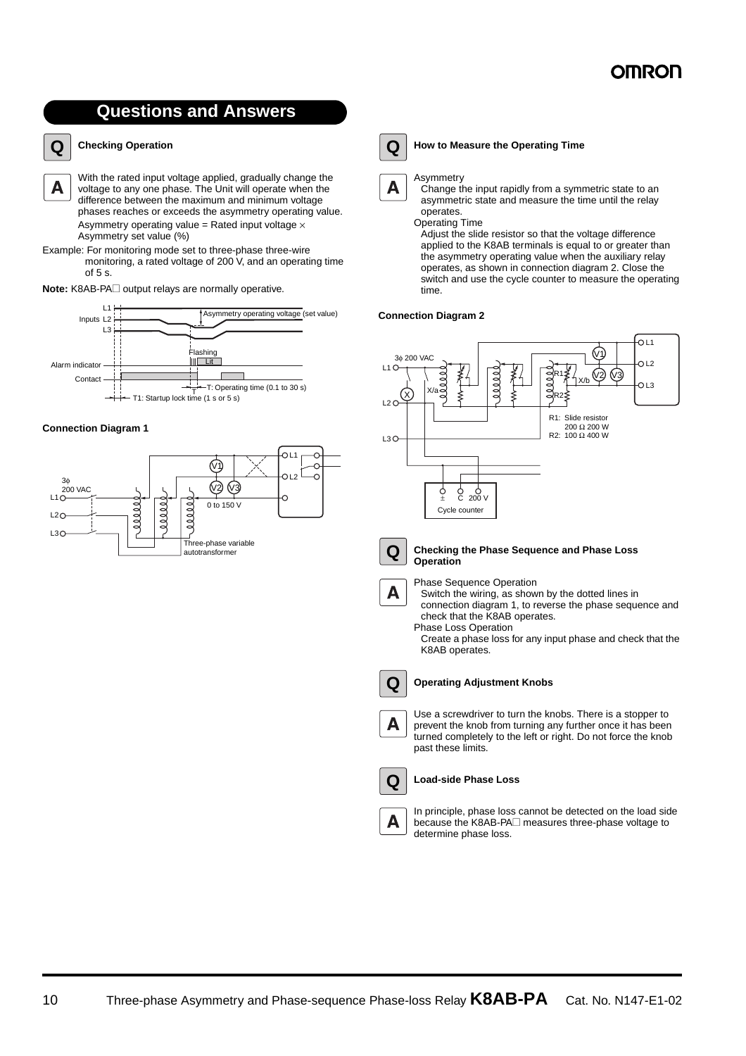## **Questions and Answers**



### **Checking Operation**

With the rated input voltage applied, gradually change the A voltage to any one phase. The Unit will operate when the difference between the maximum and minimum voltage phases reaches or exceeds the asymmetry operating value. Asymmetry operating value = Rated input voltage  $\times$ Asymmetry set value (%)

Example: For monitoring mode set to three-phase three-wire monitoring, a rated voltage of 200 V, and an operating time of 5 s.

**Note:** K8AB-PA $\Box$  output relays are normally operative.



#### **Connection Diagram 1**



### **Q**

### **How to Measure the Operating Time**

#### Asymmetry Α

Change the input rapidly from a symmetric state to an asymmetric state and measure the time until the relay operates.

Operating Time Adjust the slide resistor so that the voltage difference applied to the K8AB terminals is equal to or greater than the asymmetry operating value when the auxiliary relay operates, as shown in connection diagram 2. Close the switch and use the cycle counter to measure the operating time.

#### **Connection Diagram 2**





#### **Checking the Phase Sequence and Phase Loss Operation**

A

Phase Sequence Operation

Switch the wiring, as shown by the dotted lines in connection diagram 1, to reverse the phase sequence and check that the K8AB operates. Phase Loss Operation

Create a phase loss for any input phase and check that the K8AB operates.



**Q**

Α

A

#### **Operating Adjustment Knobs**

Use a screwdriver to turn the knobs. There is a stopper to prevent the knob from turning any further once it has been turned completely to the left or right. Do not force the knob past these limits.

#### **Load-side Phase Loss**

In principle, phase loss cannot be detected on the load side because the K8AB-PA $\Box$  measures three-phase voltage to determine phase loss.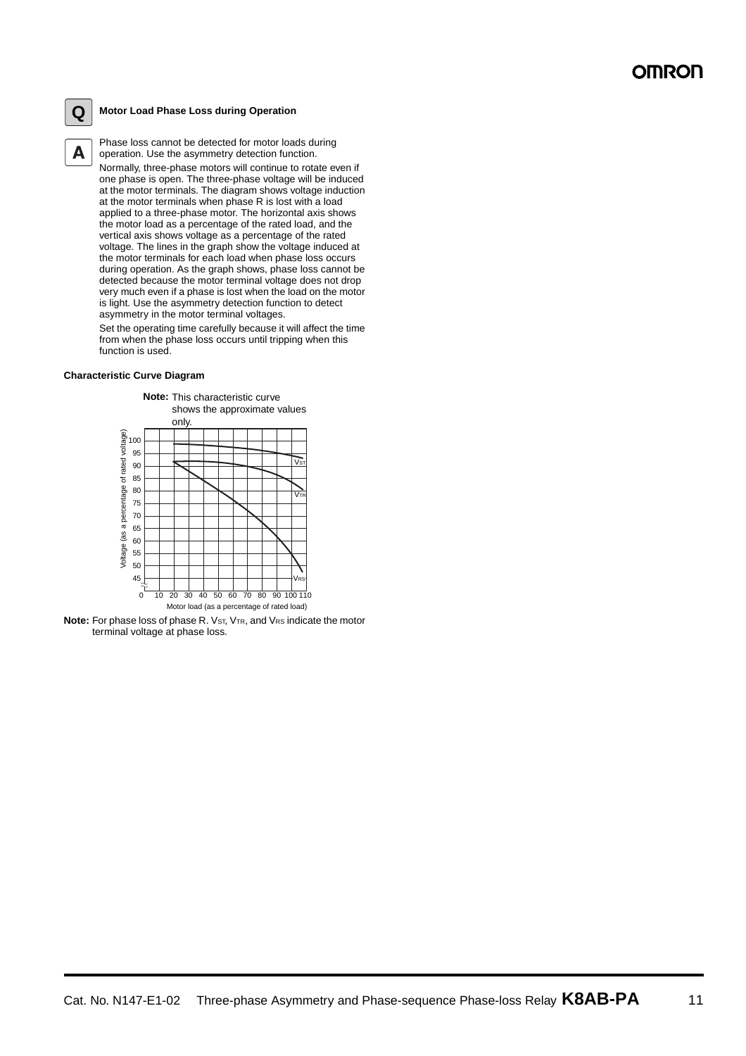### **Q**

A

### **Motor Load Phase Loss during Operation**

Phase loss cannot be detected for motor loads during operation. Use the asymmetry detection function. Normally, three-phase motors will continue to rotate even if one phase is open. The three-phase voltage will be induced at the motor terminals. The diagram shows voltage induction at the motor terminals when phase R is lost with a load applied to a three-phase motor. The horizontal axis shows the motor load as a percentage of the rated load, and the vertical axis shows voltage as a percentage of the rated voltage. The lines in the graph show the voltage induced at the motor terminals for each load when phase loss occurs during operation. As the graph shows, phase loss cannot be detected because the motor terminal voltage does not drop very much even if a phase is lost when the load on the motor is light. Use the asymmetry detection function to detect asymmetry in the motor terminal voltages.

Set the operating time carefully because it will affect the time from when the phase loss occurs until tripping when this function is used.

#### **Characteristic Curve Diagram**



**Note:** For phase loss of phase R. V<sub>ST</sub>, V<sub>TR</sub>, and V<sub>RS</sub> indicate the motor terminal voltage at phase loss.